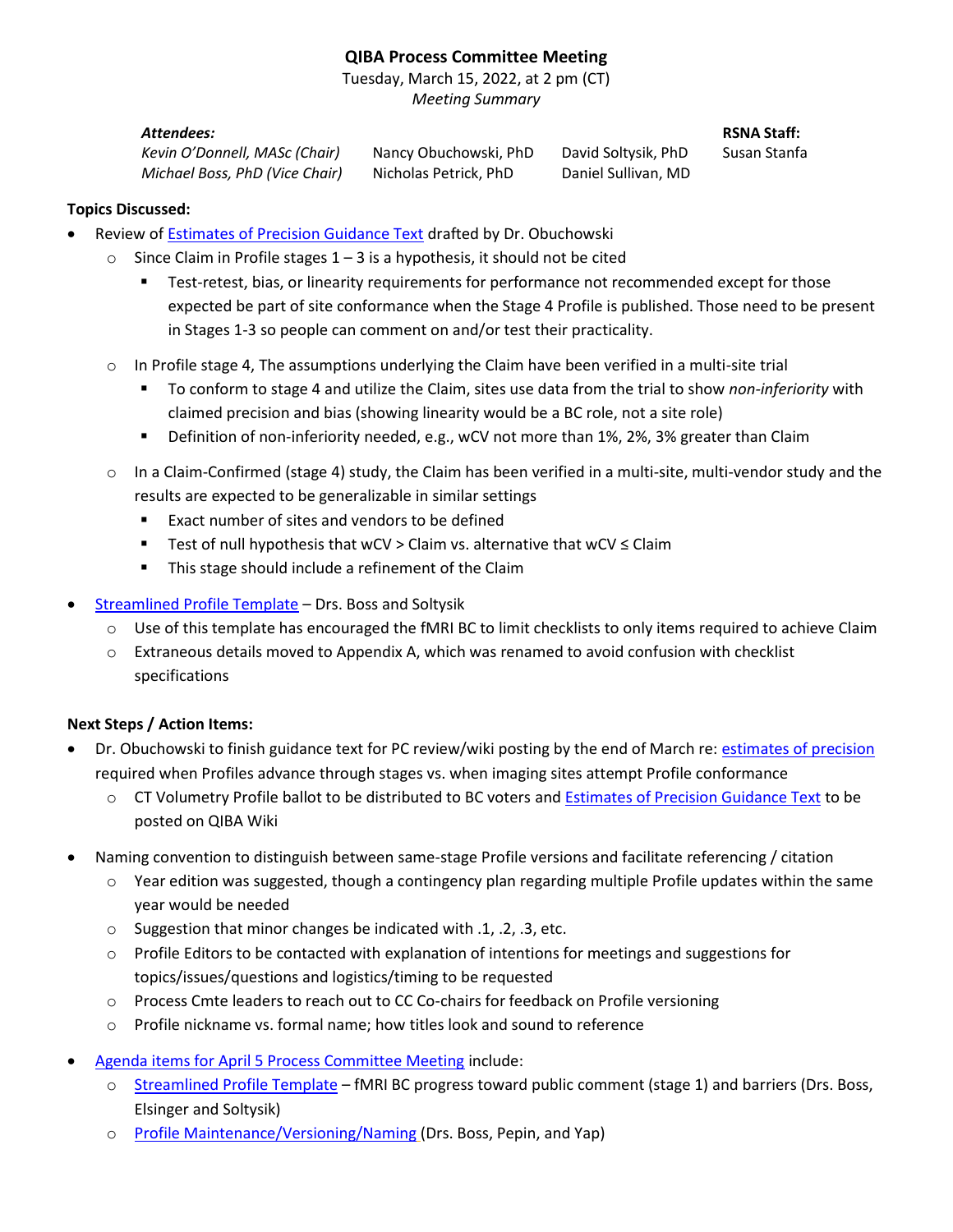## **QIBA Process Committee Meeting**

Tuesday, March 15, 2022, at 2 pm (CT) *Meeting Summary*

*Kevin O'Donnell, MASc (Chair)* Nancy Obuchowski, PhD David Soltysik, PhD Susan Stanfa *Michael Boss, PhD (Vice Chair)* Nicholas Petrick, PhD Daniel Sullivan, MD

*Attendees:* **RSNA Staff:**

## **Topics Discussed:**

- Review o[f Estimates of Precision Guidance Text](https://qibawiki.rsna.org/index.php/Process_Coordinating_Committee#Estimates_of_Precision) drafted by Dr. Obuchowski
	- Since Claim in Profile stages  $1 3$  is a hypothesis, it should not be cited
		- Test-retest, bias, or linearity requirements for performance not recommended except for those expected be part of site conformance when the Stage 4 Profile is published. Those need to be present in Stages 1-3 so people can comment on and/or test their practicality.
	- o In Profile stage 4, The assumptions underlying the Claim have been verified in a multi-site trial
		- To conform to stage 4 and utilize the Claim, sites use data from the trial to show *non-inferiority* with claimed precision and bias (showing linearity would be a BC role, not a site role)
		- **E** Definition of non-inferiority needed, e.g., wCV not more than 1%, 2%, 3% greater than Claim
	- $\circ$  In a Claim-Confirmed (stage 4) study, the Claim has been verified in a multi-site, multi-vendor study and the results are expected to be generalizable in similar settings
		- Exact number of sites and vendors to be defined
		- Test of null hypothesis that wCV > Claim vs. alternative that wCV ≤ Claim
		- This stage should include a refinement of the Claim
- Streamlined Profile Template Drs. Boss and Soltysik
	- o Use of this template has encouraged the fMRI BC to limit checklists to only items required to achieve Claim
	- $\circ$  Extraneous details moved to Appendix A, which was renamed to avoid confusion with checklist specifications

## **Next Steps / Action Items:**

- Dr. Obuchowski to finish guidance text for PC review/wiki posting by the end of March re: [estimates of precision](http://qibawiki.rsna.org/index.php/Process_Coordinating_Committee#Estimates_of_Precision) required when Profiles advance through stages vs. when imaging sites attempt Profile conformance
	- o CT Volumetry Profile ballot to be distributed to BC voters and [Estimates of Precision Guidance Text](https://qibawiki.rsna.org/index.php/Process_Coordinating_Committee#Estimates_of_Precision) to be posted on QIBA Wiki
- Naming convention to distinguish between same-stage Profile versions and facilitate referencing / citation
	- $\circ$  Year edition was suggested, though a contingency plan regarding multiple Profile updates within the same year would be needed
	- o Suggestion that minor changes be indicated with .1, .2, .3, etc.
	- o Profile Editors to be contacted with explanation of intentions for meetings and suggestions for topics/issues/questions and logistics/timing to be requested
	- o Process Cmte leaders to reach out to CC Co-chairs for feedback on Profile versioning
	- o Profile nickname vs. formal name; how titles look and sound to reference
- [Agenda items for April 5 Process Committee Meeting](http://qibawiki.rsna.org/index.php/2022-04-05_Process_Committee_Agenda) include:
	- o Streamlined Profile Template fMRI BC progress toward public comment (stage 1) and barriers (Drs. Boss, Elsinger and Soltysik)
	- o [Profile Maintenance/Versioning/Naming](https://qibawiki.rsna.org/index.php/Process_Coordinating_Committee#Current_Work) (Drs. Boss, Pepin, and Yap)